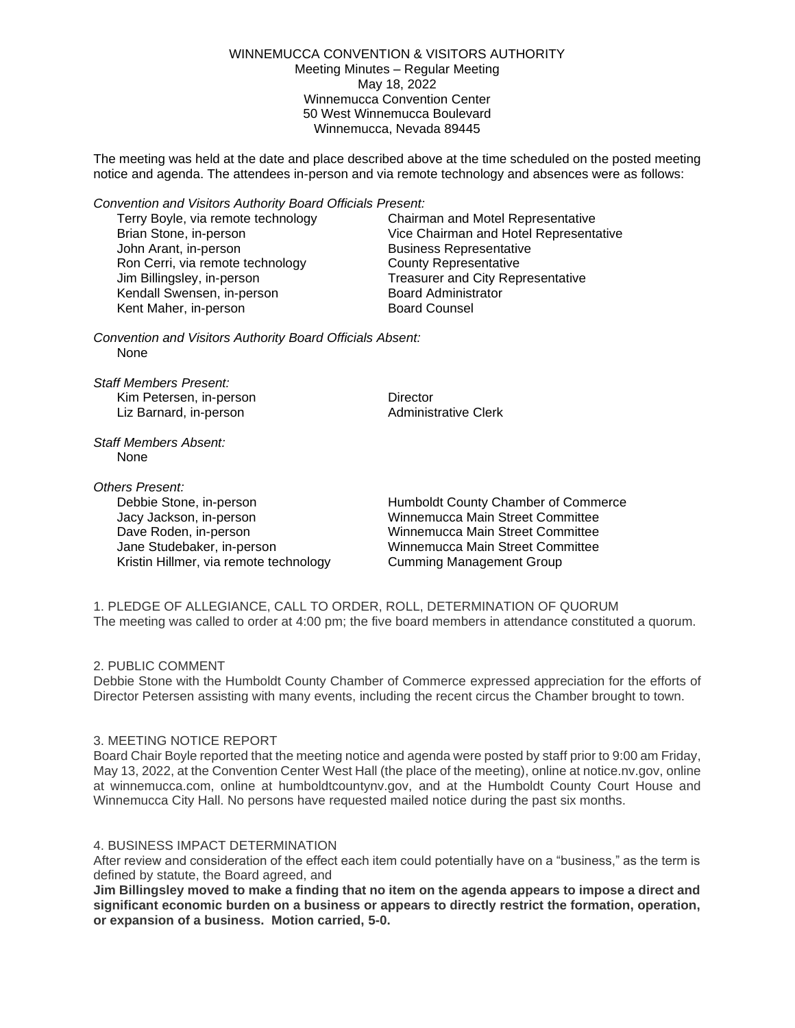WINNEMUCCA CONVENTION & VISITORS AUTHORITY Meeting Minutes – Regular Meeting May 18, 2022 Winnemucca Convention Center 50 West Winnemucca Boulevard Winnemucca, Nevada 89445

The meeting was held at the date and place described above at the time scheduled on the posted meeting notice and agenda. The attendees in-person and via remote technology and absences were as follows:

*Convention and Visitors Authority Board Officials Present:*

Terry Boyle, via remote technology Chairman and Motel Representative John Arant, in-person **Business Representative** Ron Cerri, via remote technology County Representative Jim Billingsley, in-person Treasurer and City Representative Kendall Swensen, in-person Board Administrator<br>Kent Maher. in-person Board Counsel Kent Maher, in-person

Brian Stone, in-person Vice Chairman and Hotel Representative

*Convention and Visitors Authority Board Officials Absent:* None

*Staff Members Present:* Kim Petersen, in-person **Director** Liz Barnard, in-person **Administrative Clerk** 

*Staff Members Absent:* None

*Others Present:*

Kristin Hillmer, via remote technology Cumming Management Group

Debbie Stone, in-person Humboldt County Chamber of Commerce Jacy Jackson, in-person Winnemucca Main Street Committee Dave Roden, in-person Winnemucca Main Street Committee Jane Studebaker, in-person Winnemucca Main Street Committee

1. PLEDGE OF ALLEGIANCE, CALL TO ORDER, ROLL, DETERMINATION OF QUORUM The meeting was called to order at 4:00 pm; the five board members in attendance constituted a quorum.

# 2. PUBLIC COMMENT

Debbie Stone with the Humboldt County Chamber of Commerce expressed appreciation for the efforts of Director Petersen assisting with many events, including the recent circus the Chamber brought to town.

## 3. MEETING NOTICE REPORT

Board Chair Boyle reported that the meeting notice and agenda were posted by staff prior to 9:00 am Friday, May 13, 2022, at the Convention Center West Hall (the place of the meeting), online at notice.nv.gov, online at winnemucca.com, online at humboldtcountynv.gov, and at the Humboldt County Court House and Winnemucca City Hall. No persons have requested mailed notice during the past six months.

## 4. BUSINESS IMPACT DETERMINATION

After review and consideration of the effect each item could potentially have on a "business," as the term is defined by statute, the Board agreed, and

**Jim Billingsley moved to make a finding that no item on the agenda appears to impose a direct and significant economic burden on a business or appears to directly restrict the formation, operation, or expansion of a business. Motion carried, 5-0.**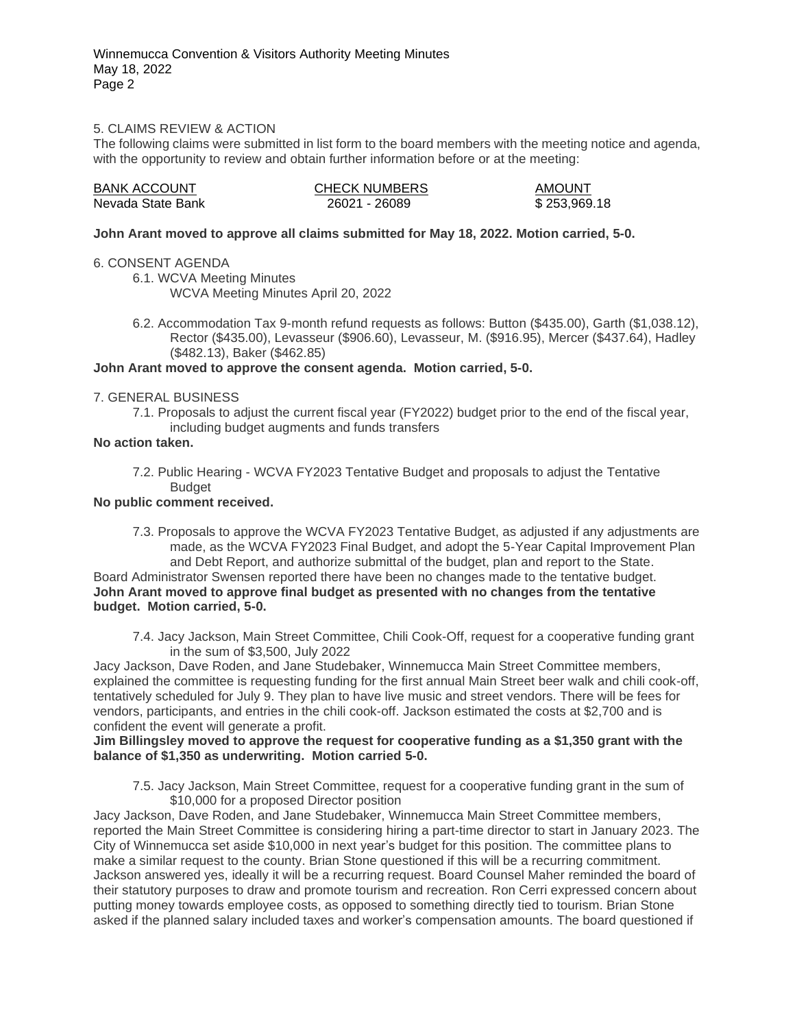## 5. CLAIMS REVIEW & ACTION

The following claims were submitted in list form to the board members with the meeting notice and agenda, with the opportunity to review and obtain further information before or at the meeting:

| <b>BANK ACCOUNT</b> | <b>CHECK NUMBERS</b> | <b>AMOUNT</b> |
|---------------------|----------------------|---------------|
| Nevada State Bank   | 26021 - 26089        | \$253,969.18  |

#### **John Arant moved to approve all claims submitted for May 18, 2022. Motion carried, 5-0.**

#### 6. CONSENT AGENDA

6.1. WCVA Meeting Minutes WCVA Meeting Minutes April 20, 2022

6.2. Accommodation Tax 9-month refund requests as follows: Button (\$435.00), Garth (\$1,038.12), Rector (\$435.00), Levasseur (\$906.60), Levasseur, M. (\$916.95), Mercer (\$437.64), Hadley (\$482.13), Baker (\$462.85)

## **John Arant moved to approve the consent agenda. Motion carried, 5-0.**

#### 7. GENERAL BUSINESS

7.1. Proposals to adjust the current fiscal year (FY2022) budget prior to the end of the fiscal year, including budget augments and funds transfers

## **No action taken.**

7.2. Public Hearing - WCVA FY2023 Tentative Budget and proposals to adjust the Tentative **Budget** 

# **No public comment received.**

7.3. Proposals to approve the WCVA FY2023 Tentative Budget, as adjusted if any adjustments are made, as the WCVA FY2023 Final Budget, and adopt the 5-Year Capital Improvement Plan and Debt Report, and authorize submittal of the budget, plan and report to the State. Board Administrator Swensen reported there have been no changes made to the tentative budget. **John Arant moved to approve final budget as presented with no changes from the tentative budget. Motion carried, 5-0.**

7.4. Jacy Jackson, Main Street Committee, Chili Cook-Off, request for a cooperative funding grant in the sum of \$3,500, July 2022

Jacy Jackson, Dave Roden, and Jane Studebaker, Winnemucca Main Street Committee members, explained the committee is requesting funding for the first annual Main Street beer walk and chili cook-off, tentatively scheduled for July 9. They plan to have live music and street vendors. There will be fees for vendors, participants, and entries in the chili cook-off. Jackson estimated the costs at \$2,700 and is confident the event will generate a profit.

#### **Jim Billingsley moved to approve the request for cooperative funding as a \$1,350 grant with the balance of \$1,350 as underwriting. Motion carried 5-0.**

7.5. Jacy Jackson, Main Street Committee, request for a cooperative funding grant in the sum of \$10,000 for a proposed Director position

Jacy Jackson, Dave Roden, and Jane Studebaker, Winnemucca Main Street Committee members, reported the Main Street Committee is considering hiring a part-time director to start in January 2023. The City of Winnemucca set aside \$10,000 in next year's budget for this position. The committee plans to make a similar request to the county. Brian Stone questioned if this will be a recurring commitment. Jackson answered yes, ideally it will be a recurring request. Board Counsel Maher reminded the board of their statutory purposes to draw and promote tourism and recreation. Ron Cerri expressed concern about putting money towards employee costs, as opposed to something directly tied to tourism. Brian Stone asked if the planned salary included taxes and worker's compensation amounts. The board questioned if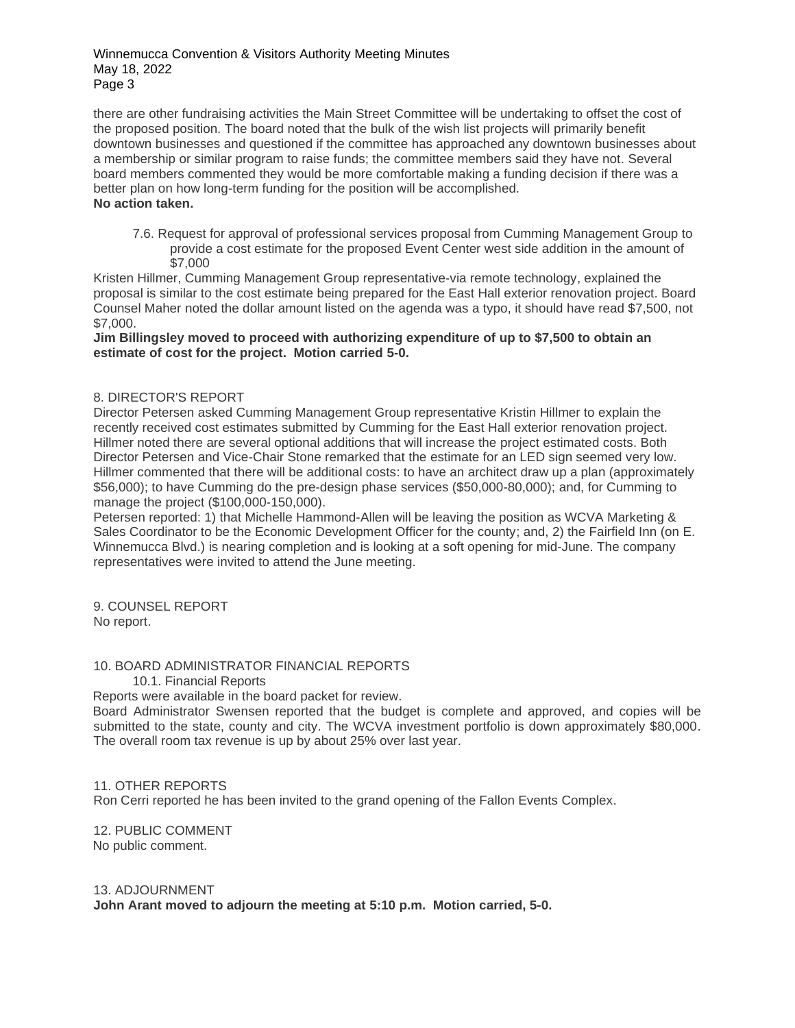there are other fundraising activities the Main Street Committee will be undertaking to offset the cost of the proposed position. The board noted that the bulk of the wish list projects will primarily benefit downtown businesses and questioned if the committee has approached any downtown businesses about a membership or similar program to raise funds; the committee members said they have not. Several board members commented they would be more comfortable making a funding decision if there was a better plan on how long-term funding for the position will be accomplished. **No action taken.**

7.6. Request for approval of professional services proposal from Cumming Management Group to provide a cost estimate for the proposed Event Center west side addition in the amount of \$7,000

Kristen Hillmer, Cumming Management Group representative-via remote technology, explained the proposal is similar to the cost estimate being prepared for the East Hall exterior renovation project. Board Counsel Maher noted the dollar amount listed on the agenda was a typo, it should have read \$7,500, not \$7,000.

**Jim Billingsley moved to proceed with authorizing expenditure of up to \$7,500 to obtain an estimate of cost for the project. Motion carried 5-0.**

## 8. DIRECTOR'S REPORT

Director Petersen asked Cumming Management Group representative Kristin Hillmer to explain the recently received cost estimates submitted by Cumming for the East Hall exterior renovation project. Hillmer noted there are several optional additions that will increase the project estimated costs. Both Director Petersen and Vice-Chair Stone remarked that the estimate for an LED sign seemed very low. Hillmer commented that there will be additional costs: to have an architect draw up a plan (approximately \$56,000); to have Cumming do the pre-design phase services (\$50,000-80,000); and, for Cumming to manage the project (\$100,000-150,000).

Petersen reported: 1) that Michelle Hammond-Allen will be leaving the position as WCVA Marketing & Sales Coordinator to be the Economic Development Officer for the county; and, 2) the Fairfield Inn (on E. Winnemucca Blvd.) is nearing completion and is looking at a soft opening for mid-June. The company representatives were invited to attend the June meeting.

9. COUNSEL REPORT No report.

10. BOARD ADMINISTRATOR FINANCIAL REPORTS

10.1. Financial Reports

Reports were available in the board packet for review.

Board Administrator Swensen reported that the budget is complete and approved, and copies will be submitted to the state, county and city. The WCVA investment portfolio is down approximately \$80,000. The overall room tax revenue is up by about 25% over last year.

## 11. OTHER REPORTS

Ron Cerri reported he has been invited to the grand opening of the Fallon Events Complex.

12. PUBLIC COMMENT No public comment.

## 13. ADJOURNMENT

**John Arant moved to adjourn the meeting at 5:10 p.m. Motion carried, 5-0.**